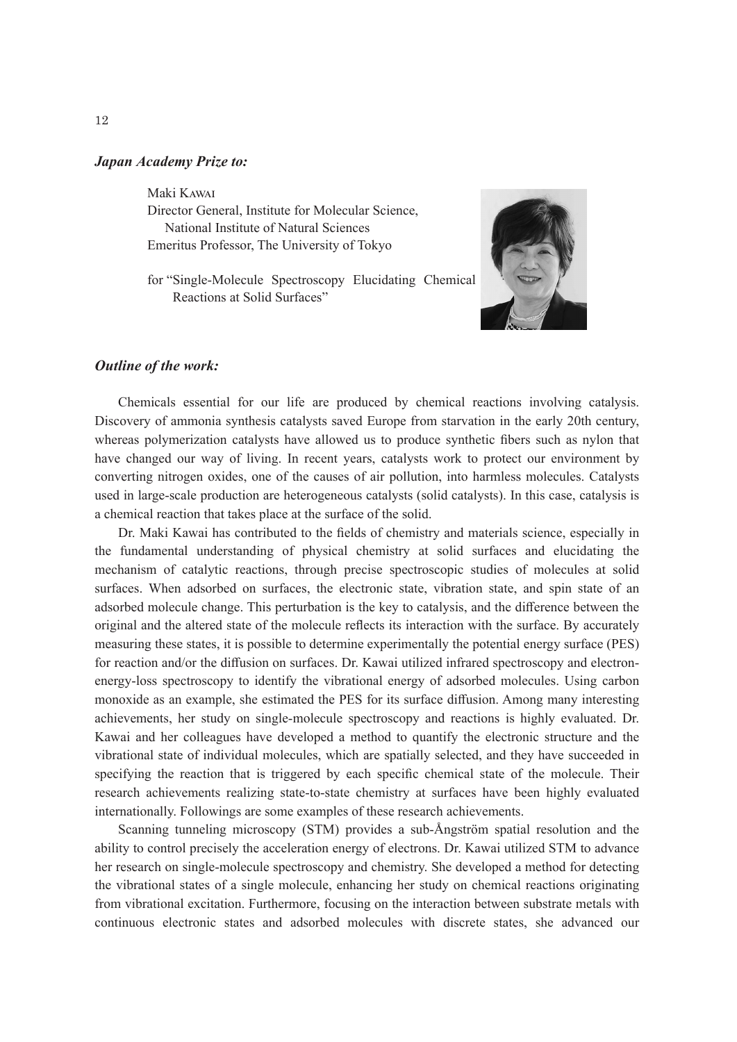## *Japan Academy Prize to:*

Maki Kawai

Director General, Institute for Molecular Science, National Institute of Natural Sciences Emeritus Professor, The University of Tokyo

for "Single-Molecule Spectroscopy Elucidating Chemical Reactions at Solid Surfaces"



## *Outline of the work:*

Chemicals essential for our life are produced by chemical reactions involving catalysis. Discovery of ammonia synthesis catalysts saved Europe from starvation in the early 20th century, whereas polymerization catalysts have allowed us to produce synthetic fibers such as nylon that have changed our way of living. In recent years, catalysts work to protect our environment by converting nitrogen oxides, one of the causes of air pollution, into harmless molecules. Catalysts used in large-scale production are heterogeneous catalysts (solid catalysts). In this case, catalysis is a chemical reaction that takes place at the surface of the solid.

Dr. Maki Kawai has contributed to the fields of chemistry and materials science, especially in the fundamental understanding of physical chemistry at solid surfaces and elucidating the mechanism of catalytic reactions, through precise spectroscopic studies of molecules at solid surfaces. When adsorbed on surfaces, the electronic state, vibration state, and spin state of an adsorbed molecule change. This perturbation is the key to catalysis, and the difference between the original and the altered state of the molecule reflects its interaction with the surface. By accurately measuring these states, it is possible to determine experimentally the potential energy surface (PES) for reaction and/or the diffusion on surfaces. Dr. Kawai utilized infrared spectroscopy and electronenergy-loss spectroscopy to identify the vibrational energy of adsorbed molecules. Using carbon monoxide as an example, she estimated the PES for its surface diffusion. Among many interesting achievements, her study on single-molecule spectroscopy and reactions is highly evaluated. Dr. Kawai and her colleagues have developed a method to quantify the electronic structure and the vibrational state of individual molecules, which are spatially selected, and they have succeeded in specifying the reaction that is triggered by each specific chemical state of the molecule. Their research achievements realizing state-to-state chemistry at surfaces have been highly evaluated internationally. Followings are some examples of these research achievements.

Scanning tunneling microscopy (STM) provides a sub-Ångström spatial resolution and the ability to control precisely the acceleration energy of electrons. Dr. Kawai utilized STM to advance her research on single-molecule spectroscopy and chemistry. She developed a method for detecting the vibrational states of a single molecule, enhancing her study on chemical reactions originating from vibrational excitation. Furthermore, focusing on the interaction between substrate metals with continuous electronic states and adsorbed molecules with discrete states, she advanced our

12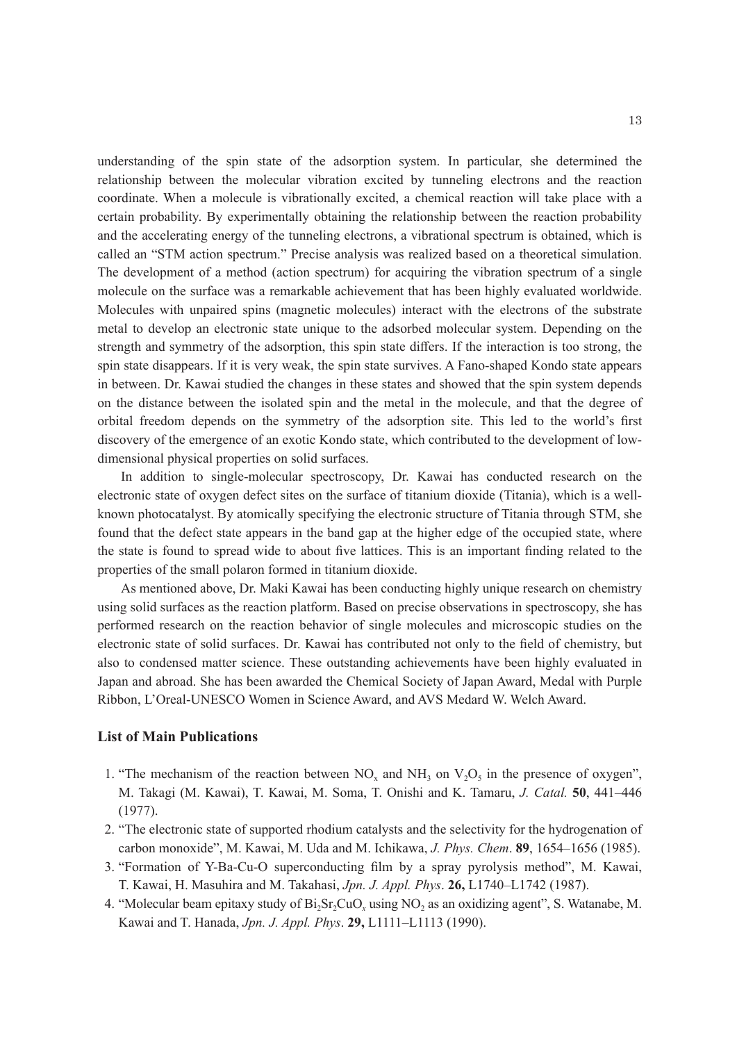understanding of the spin state of the adsorption system. In particular, she determined the relationship between the molecular vibration excited by tunneling electrons and the reaction coordinate. When a molecule is vibrationally excited, a chemical reaction will take place with a certain probability. By experimentally obtaining the relationship between the reaction probability and the accelerating energy of the tunneling electrons, a vibrational spectrum is obtained, which is called an "STM action spectrum." Precise analysis was realized based on a theoretical simulation. The development of a method (action spectrum) for acquiring the vibration spectrum of a single molecule on the surface was a remarkable achievement that has been highly evaluated worldwide. Molecules with unpaired spins (magnetic molecules) interact with the electrons of the substrate metal to develop an electronic state unique to the adsorbed molecular system. Depending on the strength and symmetry of the adsorption, this spin state differs. If the interaction is too strong, the spin state disappears. If it is very weak, the spin state survives. A Fano-shaped Kondo state appears in between. Dr. Kawai studied the changes in these states and showed that the spin system depends on the distance between the isolated spin and the metal in the molecule, and that the degree of orbital freedom depends on the symmetry of the adsorption site. This led to the world's first discovery of the emergence of an exotic Kondo state, which contributed to the development of lowdimensional physical properties on solid surfaces.

In addition to single-molecular spectroscopy, Dr. Kawai has conducted research on the electronic state of oxygen defect sites on the surface of titanium dioxide (Titania), which is a wellknown photocatalyst. By atomically specifying the electronic structure of Titania through STM, she found that the defect state appears in the band gap at the higher edge of the occupied state, where the state is found to spread wide to about five lattices. This is an important finding related to the properties of the small polaron formed in titanium dioxide.

As mentioned above, Dr. Maki Kawai has been conducting highly unique research on chemistry using solid surfaces as the reaction platform. Based on precise observations in spectroscopy, she has performed research on the reaction behavior of single molecules and microscopic studies on the electronic state of solid surfaces. Dr. Kawai has contributed not only to the field of chemistry, but also to condensed matter science. These outstanding achievements have been highly evaluated in Japan and abroad. She has been awarded the Chemical Society of Japan Award, Medal with Purple Ribbon, L'Oreal-UNESCO Women in Science Award, and AVS Medard W. Welch Award.

## **List of Main Publications**

- 1. "The mechanism of the reaction between  $NO<sub>x</sub>$  and  $NH<sub>3</sub>$  on  $V<sub>2</sub>O<sub>5</sub>$  in the presence of oxygen", M. Takagi (M. Kawai), T. Kawai, M. Soma, T. Onishi and K. Tamaru, *J. Catal.* **50**, 441–446 (1977).
- 2. "The electronic state of supported rhodium catalysts and the selectivity for the hydrogenation of carbon monoxide", M. Kawai, M. Uda and M. Ichikawa, *J. Phys. Chem*. **89**, 1654–1656 (1985).
- 3. "Formation of Y-Ba-Cu-O superconducting film by a spray pyrolysis method", M. Kawai, T. Kawai, H. Masuhira and M. Takahasi, *Jpn. J. Appl. Phys*. **26,** L1740–L1742 (1987).
- 4. "Molecular beam epitaxy study of Bi<sub>2</sub>Sr<sub>2</sub>CuO<sub>x</sub> using NO<sub>2</sub> as an oxidizing agent", S. Watanabe, M. Kawai and T. Hanada, *Jpn. J. Appl. Phys*. **29,** L1111–L1113 (1990).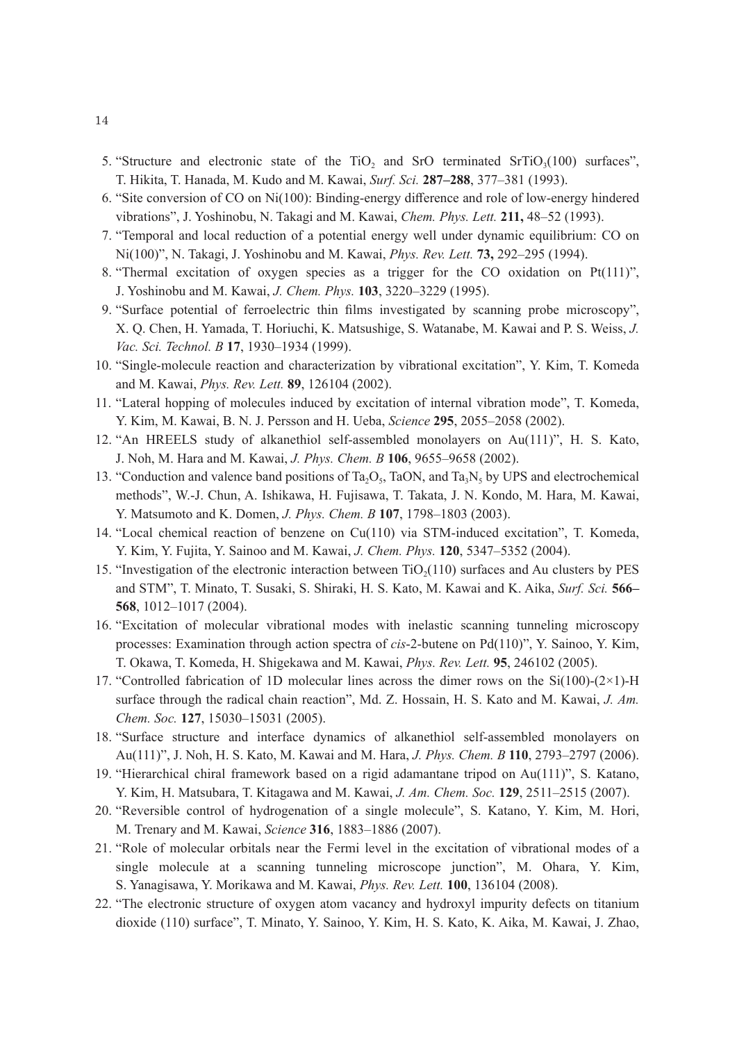- 5. "Structure and electronic state of the  $TiO<sub>2</sub>$  and SrO terminated SrTiO<sub>3</sub>(100) surfaces", T. Hikita, T. Hanada, M. Kudo and M. Kawai, *Surf. Sci.* **287–288**, 377–381 (1993).
- 6. "Site conversion of CO on Ni(100): Binding-energy difference and role of low-energy hindered vibrations", J. Yoshinobu, N. Takagi and M. Kawai, *Chem. Phys. Lett.* **211,** 48–52 (1993).
- 7. "Temporal and local reduction of a potential energy well under dynamic equilibrium: CO on Ni(100)", N. Takagi, J. Yoshinobu and M. Kawai, *Phys. Rev. Lett.* **73,** 292–295 (1994).
- 8. "Thermal excitation of oxygen species as a trigger for the CO oxidation on  $Pt(111)$ ", J. Yoshinobu and M. Kawai, *J. Chem. Phys.* **103**, 3220–3229 (1995).
- 9. "Surface potential of ferroelectric thin films investigated by scanning probe microscopy", X. Q. Chen, H. Yamada, T. Horiuchi, K. Matsushige, S. Watanabe, M. Kawai and P. S. Weiss, *J. Vac. Sci. Technol. B* **17**, 1930–1934 (1999).
- 10. "Single-molecule reaction and characterization by vibrational excitation", Y. Kim, T. Komeda and M. Kawai, *Phys. Rev. Lett.* **89**, 126104 (2002).
- 11. "Lateral hopping of molecules induced by excitation of internal vibration mode", T. Komeda, Y. Kim, M. Kawai, B. N. J. Persson and H. Ueba, *Science* **295**, 2055–2058 (2002).
- 12. "An HREELS study of alkanethiol self-assembled monolayers on Au(111)", H. S. Kato, J. Noh, M. Hara and M. Kawai, *J. Phys. Chem. B* **106**, 9655–9658 (2002).
- 13. "Conduction and valence band positions of Ta<sub>2</sub>O<sub>5</sub>, TaON, and Ta<sub>3</sub>N<sub>5</sub> by UPS and electrochemical methods", W.-J. Chun, A. Ishikawa, H. Fujisawa, T. Takata, J. N. Kondo, M. Hara, M. Kawai, Y. Matsumoto and K. Domen, *J. Phys. Chem. B* **107**, 1798–1803 (2003).
- 14. "Local chemical reaction of benzene on Cu(110) via STM-induced excitation", T. Komeda, Y. Kim, Y. Fujita, Y. Sainoo and M. Kawai, *J. Chem. Phys.* **120**, 5347–5352 (2004).
- 15. "Investigation of the electronic interaction between  $TiO<sub>2</sub>(110)$  surfaces and Au clusters by PES and STM", T. Minato, T. Susaki, S. Shiraki, H. S. Kato, M. Kawai and K. Aika, *Surf. Sci.* **566– 568**, 1012–1017 (2004).
- 16. "Excitation of molecular vibrational modes with inelastic scanning tunneling microscopy processes: Examination through action spectra of *cis*-2-butene on Pd(110)", Y. Sainoo, Y. Kim, T. Okawa, T. Komeda, H. Shigekawa and M. Kawai, *Phys. Rev. Lett.* **95**, 246102 (2005).
- 17. "Controlled fabrication of 1D molecular lines across the dimer rows on the  $Si(100)-(2\times1)$ -H surface through the radical chain reaction", Md. Z. Hossain, H. S. Kato and M. Kawai, *J. Am. Chem. Soc.* **127**, 15030–15031 (2005).
- 18. "Surface structure and interface dynamics of alkanethiol self-assembled monolayers on Au(111)", J. Noh, H. S. Kato, M. Kawai and M. Hara, *J. Phys. Chem. B* **110**, 2793–2797 (2006).
- 19. "Hierarchical chiral framework based on a rigid adamantane tripod on Au(111)", S. Katano, Y. Kim, H. Matsubara, T. Kitagawa and M. Kawai, *J. Am. Chem. Soc.* **129**, 2511–2515 (2007).
- 20. "Reversible control of hydrogenation of a single molecule", S. Katano, Y. Kim, M. Hori, M. Trenary and M. Kawai, *Science* **316**, 1883–1886 (2007).
- 21. "Role of molecular orbitals near the Fermi level in the excitation of vibrational modes of a single molecule at a scanning tunneling microscope junction", M. Ohara, Y. Kim, S. Yanagisawa, Y. Morikawa and M. Kawai, *Phys. Rev. Lett.* **100**, 136104 (2008).
- 22. "The electronic structure of oxygen atom vacancy and hydroxyl impurity defects on titanium dioxide (110) surface", T. Minato, Y. Sainoo, Y. Kim, H. S. Kato, K. Aika, M. Kawai, J. Zhao,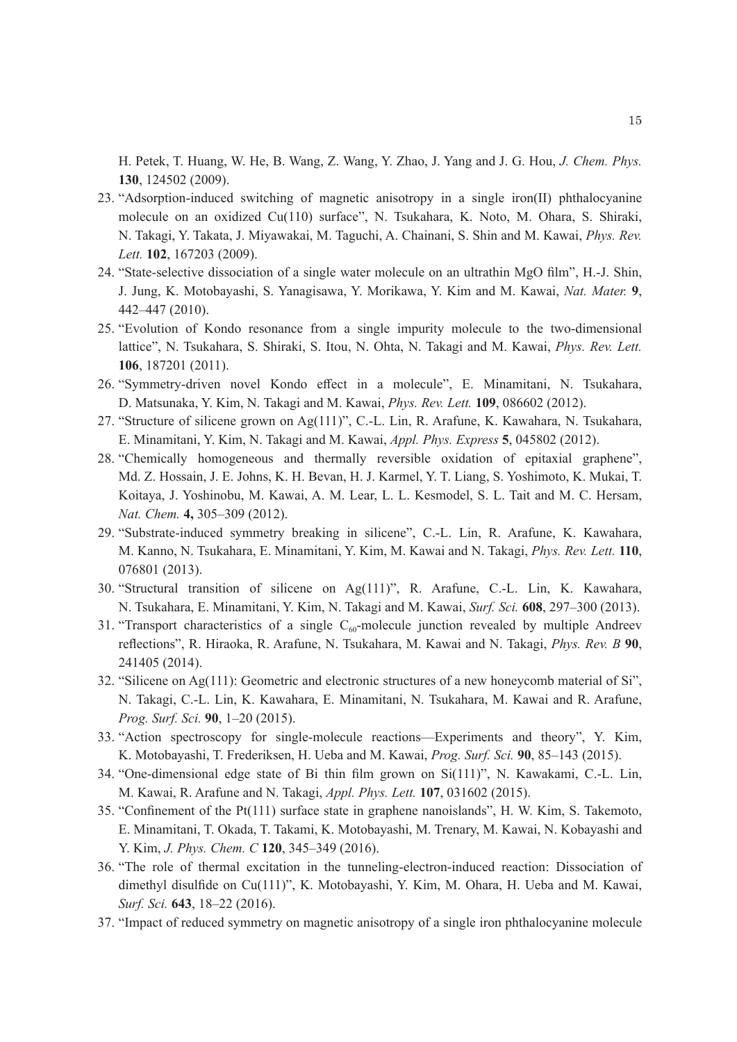H. Petek, T. Huang, W. He, B. Wang, Z. Wang, Y. Zhao, J. Yang and J. G. Hou, *J. Chem. Phys.*  **130**, 124502 (2009).

- 23. "Adsorption-induced switching of magnetic anisotropy in a single iron(II) phthalocyanine molecule on an oxidized Cu(110) surface", N. Tsukahara, K. Noto, M. Ohara, S. Shiraki, N. Takagi, Y. Takata, J. Miyawakai, M. Taguchi, A. Chainani, S. Shin and M. Kawai, *Phys. Rev. Lett.* **102**, 167203 (2009).
- 24. "State-selective dissociation of a single water molecule on an ultrathin MgO film", H.-J. Shin, J. Jung, K. Motobayashi, S. Yanagisawa, Y. Morikawa, Y. Kim and M. Kawai, *Nat. Mater.* **9**, 442–447 (2010).
- 25. "Evolution of Kondo resonance from a single impurity molecule to the two-dimensional lattice", N. Tsukahara, S. Shiraki, S. Itou, N. Ohta, N. Takagi and M. Kawai, *Phys. Rev. Lett.*  **106**, 187201 (2011).
- 26. "Symmetry-driven novel Kondo effect in a molecule", E. Minamitani, N. Tsukahara, D. Matsunaka, Y. Kim, N. Takagi and M. Kawai, *Phys. Rev. Lett.* **109**, 086602 (2012).
- 27. "Structure of silicene grown on Ag(111)", C.-L. Lin, R. Arafune, K. Kawahara, N. Tsukahara, E. Minamitani, Y. Kim, N. Takagi and M. Kawai, *Appl. Phys. Express* **5**, 045802 (2012).
- 28. "Chemically homogeneous and thermally reversible oxidation of epitaxial graphene", Md. Z. Hossain, J. E. Johns, K. H. Bevan, H. J. Karmel, Y. T. Liang, S. Yoshimoto, K. Mukai, T. Koitaya, J. Yoshinobu, M. Kawai, A. M. Lear, L. L. Kesmodel, S. L. Tait and M. C. Hersam, *Nat. Chem.* **4,** 305–309 (2012).
- 29. "Substrate-induced symmetry breaking in silicene", C.-L. Lin, R. Arafune, K. Kawahara, M. Kanno, N. Tsukahara, E. Minamitani, Y. Kim, M. Kawai and N. Takagi, *Phys. Rev. Lett.* **110**, 076801 (2013).
- 30. "Structural transition of silicene on Ag(111)", R. Arafune, C.-L. Lin, K. Kawahara, N. Tsukahara, E. Minamitani, Y. Kim, N. Takagi and M. Kawai, *Surf. Sci.* **608**, 297–300 (2013).
- 31. "Transport characteristics of a single  $C_{60}$ -molecule junction revealed by multiple Andreev reflections", R. Hiraoka, R. Arafune, N. Tsukahara, M. Kawai and N. Takagi, *Phys. Rev. B* **90**, 241405 (2014).
- 32. "Silicene on Ag(111): Geometric and electronic structures of a new honeycomb material of Si", N. Takagi, C.-L. Lin, K. Kawahara, E. Minamitani, N. Tsukahara, M. Kawai and R. Arafune, *Prog. Surf. Sci.* **90**, 1–20 (2015).
- 33. "Action spectroscopy for single-molecule reactions—Experiments and theory", Y. Kim, K. Motobayashi, T. Frederiksen, H. Ueba and M. Kawai, *Prog. Surf. Sci.* **90**, 85–143 (2015).
- 34. "One-dimensional edge state of Bi thin film grown on Si(111)", N. Kawakami, C.-L. Lin, M. Kawai, R. Arafune and N. Takagi, *Appl. Phys. Lett.* **107**, 031602 (2015).
- 35. "Confinement of the Pt(111) surface state in graphene nanoislands", H. W. Kim, S. Takemoto, E. Minamitani, T. Okada, T. Takami, K. Motobayashi, M. Trenary, M. Kawai, N. Kobayashi and Y. Kim, *J. Phys. Chem. C* **120**, 345–349 (2016).
- 36. "The role of thermal excitation in the tunneling-electron-induced reaction: Dissociation of dimethyl disulfide on Cu(111)", K. Motobayashi, Y. Kim, M. Ohara, H. Ueba and M. Kawai, *Surf. Sci.* **643**, 18–22 (2016).
- 37. "Impact of reduced symmetry on magnetic anisotropy of a single iron phthalocyanine molecule